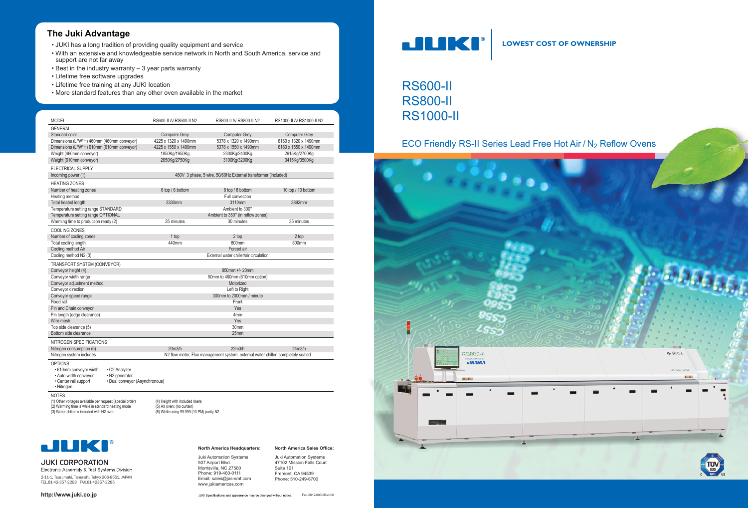# **North America Sales Office:**

# RS600-II RS800-II RS1000-II

# ECO Friendly RS-II Series Lead Free Hot Air / N<sub>2</sub> Reflow Ovens

**LOWEST COST OF OWNERSHIP**

**North America Headquarters:**

Juki Automation Systems 507 Airport Blvd. Morrisville, NC 27560 Phone: 919-460-0111 Email: sales@jas-smt.com www.jukiamericas.com

Electronic Assembly & Test Systems Division 2-11-1, Tsurumaki, Tama-shi, Tokyo 206-8551, JAPAN TEL.81-42-357-2293 FAX.81-42357-2285

Juki Automation Systems 47102 Mission Falls Court Suite 101 Fremont, CA 94539 Phone: 510-249-6700

JUKI Specifications and appearance may be changed without notice. Feb-2012/0000/Rev.00



### **http://www.juki.co.jp**

# **The Juki Advantage**

- JUKI has a long tradition of providing quality equipment and service
- With an extensive and knowledgeable service network in North and South America, service and support are not far away
- Best in the industry warranty 3 year parts warranty
- Lifetime free software upgrades
- Lifetime free training at any JUKI location
- More standard features than any other oven available in the market



• 610mm conveyor width • O2 Analyzer<br>• Auto-width conveyor • N2 generator • Auto-width conveyor<br>• Center rail support • Dual conveyor (Asynchronous) • Nitrogen

(1) Other voltages available per request (special order) (4) Height with included risers (2) Warming time is while in standard heating mode (5) Air oven; (no curtain) (3) Water chiller is included with N2 oven (3) While using 99.999 (10 PM) purity N2



# **JUKI CORPORATION**

| <b>MODEL</b><br>RS600-II A/ RS600-II N2<br>RS800-II A/ RS800-II N2<br>RS1000-II A/ RS1000-II N2<br><b>GENERAL</b><br><b>Computer Grey</b><br><b>Computer Grey</b><br>Standard color<br><b>Computer Grey</b><br>6160 x 1320 x 1490mm<br>Dimensions (L*W*H) 460mm (460mm conveyor)<br>4225 x 1320 x 1490mm<br>5378 x 1320 x 1490mm<br>Dimensions (L*W*H) 610mm (610mm conveyor)<br>4225 x 1550 x 1490mm<br>5378 x 1550 x 1490mm<br>6160 x 1550 x 1490mm<br>Weight (460mm conveyor)<br>1850Kg/1950Kg<br>2300Kg/2400Kg<br>2615Kg/2700Kg<br>Weight (610mm conveyor)<br>2650Kg/2750Kg<br>3100Kg/3200Kg<br>3415Kg/3500Kg<br>ELECTRICAL SUPPLY<br>480V 3 phase, 5 wire, 50/60Hz External transformer (included)<br>Incoming power (1)<br><b>HEATING ZONES</b><br>Number of heating zones<br>6 top / 6 bottom<br>8 top / 8 bottom<br>10 top / 10 bottom<br>Full convection<br>Heating method<br>2330mm<br>Total heated length<br>3110mm<br>3892mm<br>Temperature setting range STANDARD<br>Ambient to 300°<br>Temperature setting range OPTIONAL<br>Ambient to 350° (in reflow zones)<br>Warming time to production ready (2)<br>25 minutes<br>30 minutes<br>35 minutes<br>COOLING ZONES<br>Number of cooling zones<br>2 top<br>2 top<br>1 top<br>800mm<br>440mm<br>800mm<br>Total cooling length<br>Cooling method Air<br>Forced air<br>Cooling method N2 (3)<br>External water chiller/air circulation |
|-------------------------------------------------------------------------------------------------------------------------------------------------------------------------------------------------------------------------------------------------------------------------------------------------------------------------------------------------------------------------------------------------------------------------------------------------------------------------------------------------------------------------------------------------------------------------------------------------------------------------------------------------------------------------------------------------------------------------------------------------------------------------------------------------------------------------------------------------------------------------------------------------------------------------------------------------------------------------------------------------------------------------------------------------------------------------------------------------------------------------------------------------------------------------------------------------------------------------------------------------------------------------------------------------------------------------------------------------------------------------------------------------|
|                                                                                                                                                                                                                                                                                                                                                                                                                                                                                                                                                                                                                                                                                                                                                                                                                                                                                                                                                                                                                                                                                                                                                                                                                                                                                                                                                                                                 |
|                                                                                                                                                                                                                                                                                                                                                                                                                                                                                                                                                                                                                                                                                                                                                                                                                                                                                                                                                                                                                                                                                                                                                                                                                                                                                                                                                                                                 |
|                                                                                                                                                                                                                                                                                                                                                                                                                                                                                                                                                                                                                                                                                                                                                                                                                                                                                                                                                                                                                                                                                                                                                                                                                                                                                                                                                                                                 |
|                                                                                                                                                                                                                                                                                                                                                                                                                                                                                                                                                                                                                                                                                                                                                                                                                                                                                                                                                                                                                                                                                                                                                                                                                                                                                                                                                                                                 |
|                                                                                                                                                                                                                                                                                                                                                                                                                                                                                                                                                                                                                                                                                                                                                                                                                                                                                                                                                                                                                                                                                                                                                                                                                                                                                                                                                                                                 |
|                                                                                                                                                                                                                                                                                                                                                                                                                                                                                                                                                                                                                                                                                                                                                                                                                                                                                                                                                                                                                                                                                                                                                                                                                                                                                                                                                                                                 |
|                                                                                                                                                                                                                                                                                                                                                                                                                                                                                                                                                                                                                                                                                                                                                                                                                                                                                                                                                                                                                                                                                                                                                                                                                                                                                                                                                                                                 |
|                                                                                                                                                                                                                                                                                                                                                                                                                                                                                                                                                                                                                                                                                                                                                                                                                                                                                                                                                                                                                                                                                                                                                                                                                                                                                                                                                                                                 |
|                                                                                                                                                                                                                                                                                                                                                                                                                                                                                                                                                                                                                                                                                                                                                                                                                                                                                                                                                                                                                                                                                                                                                                                                                                                                                                                                                                                                 |
|                                                                                                                                                                                                                                                                                                                                                                                                                                                                                                                                                                                                                                                                                                                                                                                                                                                                                                                                                                                                                                                                                                                                                                                                                                                                                                                                                                                                 |
|                                                                                                                                                                                                                                                                                                                                                                                                                                                                                                                                                                                                                                                                                                                                                                                                                                                                                                                                                                                                                                                                                                                                                                                                                                                                                                                                                                                                 |
|                                                                                                                                                                                                                                                                                                                                                                                                                                                                                                                                                                                                                                                                                                                                                                                                                                                                                                                                                                                                                                                                                                                                                                                                                                                                                                                                                                                                 |
|                                                                                                                                                                                                                                                                                                                                                                                                                                                                                                                                                                                                                                                                                                                                                                                                                                                                                                                                                                                                                                                                                                                                                                                                                                                                                                                                                                                                 |
|                                                                                                                                                                                                                                                                                                                                                                                                                                                                                                                                                                                                                                                                                                                                                                                                                                                                                                                                                                                                                                                                                                                                                                                                                                                                                                                                                                                                 |
|                                                                                                                                                                                                                                                                                                                                                                                                                                                                                                                                                                                                                                                                                                                                                                                                                                                                                                                                                                                                                                                                                                                                                                                                                                                                                                                                                                                                 |
|                                                                                                                                                                                                                                                                                                                                                                                                                                                                                                                                                                                                                                                                                                                                                                                                                                                                                                                                                                                                                                                                                                                                                                                                                                                                                                                                                                                                 |
|                                                                                                                                                                                                                                                                                                                                                                                                                                                                                                                                                                                                                                                                                                                                                                                                                                                                                                                                                                                                                                                                                                                                                                                                                                                                                                                                                                                                 |
|                                                                                                                                                                                                                                                                                                                                                                                                                                                                                                                                                                                                                                                                                                                                                                                                                                                                                                                                                                                                                                                                                                                                                                                                                                                                                                                                                                                                 |
|                                                                                                                                                                                                                                                                                                                                                                                                                                                                                                                                                                                                                                                                                                                                                                                                                                                                                                                                                                                                                                                                                                                                                                                                                                                                                                                                                                                                 |
|                                                                                                                                                                                                                                                                                                                                                                                                                                                                                                                                                                                                                                                                                                                                                                                                                                                                                                                                                                                                                                                                                                                                                                                                                                                                                                                                                                                                 |
|                                                                                                                                                                                                                                                                                                                                                                                                                                                                                                                                                                                                                                                                                                                                                                                                                                                                                                                                                                                                                                                                                                                                                                                                                                                                                                                                                                                                 |
| TRANSPORT SYSTEM (CONVEYOR)                                                                                                                                                                                                                                                                                                                                                                                                                                                                                                                                                                                                                                                                                                                                                                                                                                                                                                                                                                                                                                                                                                                                                                                                                                                                                                                                                                     |
| 950mm +/- 20mm<br>Conveyor height (4)                                                                                                                                                                                                                                                                                                                                                                                                                                                                                                                                                                                                                                                                                                                                                                                                                                                                                                                                                                                                                                                                                                                                                                                                                                                                                                                                                           |
| Conveyor width range<br>50mm to 460mm (610mm option)                                                                                                                                                                                                                                                                                                                                                                                                                                                                                                                                                                                                                                                                                                                                                                                                                                                                                                                                                                                                                                                                                                                                                                                                                                                                                                                                            |
| Conveyor adjustment method<br>Motorized                                                                                                                                                                                                                                                                                                                                                                                                                                                                                                                                                                                                                                                                                                                                                                                                                                                                                                                                                                                                                                                                                                                                                                                                                                                                                                                                                         |
| Conveyor direction<br>Left to Right                                                                                                                                                                                                                                                                                                                                                                                                                                                                                                                                                                                                                                                                                                                                                                                                                                                                                                                                                                                                                                                                                                                                                                                                                                                                                                                                                             |
| 300mm to 2000mm / minute<br>Conveyor speed range                                                                                                                                                                                                                                                                                                                                                                                                                                                                                                                                                                                                                                                                                                                                                                                                                                                                                                                                                                                                                                                                                                                                                                                                                                                                                                                                                |
| Fixed rail<br>Front                                                                                                                                                                                                                                                                                                                                                                                                                                                                                                                                                                                                                                                                                                                                                                                                                                                                                                                                                                                                                                                                                                                                                                                                                                                                                                                                                                             |
| Pin and Chain conveyor<br>Yes                                                                                                                                                                                                                                                                                                                                                                                                                                                                                                                                                                                                                                                                                                                                                                                                                                                                                                                                                                                                                                                                                                                                                                                                                                                                                                                                                                   |
| Pin length (edge clearance)<br>4 <sub>mm</sub>                                                                                                                                                                                                                                                                                                                                                                                                                                                                                                                                                                                                                                                                                                                                                                                                                                                                                                                                                                                                                                                                                                                                                                                                                                                                                                                                                  |
| Wire mesh<br>Yes                                                                                                                                                                                                                                                                                                                                                                                                                                                                                                                                                                                                                                                                                                                                                                                                                                                                                                                                                                                                                                                                                                                                                                                                                                                                                                                                                                                |
| Top side clearance (5)<br>30mm                                                                                                                                                                                                                                                                                                                                                                                                                                                                                                                                                                                                                                                                                                                                                                                                                                                                                                                                                                                                                                                                                                                                                                                                                                                                                                                                                                  |
| Bottom side clearance<br>25 <sub>mm</sub>                                                                                                                                                                                                                                                                                                                                                                                                                                                                                                                                                                                                                                                                                                                                                                                                                                                                                                                                                                                                                                                                                                                                                                                                                                                                                                                                                       |
| <b>NITROGEN SPECIFICATIONS</b>                                                                                                                                                                                                                                                                                                                                                                                                                                                                                                                                                                                                                                                                                                                                                                                                                                                                                                                                                                                                                                                                                                                                                                                                                                                                                                                                                                  |
| 20 <sub>m3/h</sub><br>22m3/h<br>Nitrogen consumption (6)<br>24m3/h                                                                                                                                                                                                                                                                                                                                                                                                                                                                                                                                                                                                                                                                                                                                                                                                                                                                                                                                                                                                                                                                                                                                                                                                                                                                                                                              |
| Nitrogen system includes<br>N2 flow meter, Flux management system, external water chiller, completely sealed                                                                                                                                                                                                                                                                                                                                                                                                                                                                                                                                                                                                                                                                                                                                                                                                                                                                                                                                                                                                                                                                                                                                                                                                                                                                                    |
| <b>OPTIONS</b>                                                                                                                                                                                                                                                                                                                                                                                                                                                                                                                                                                                                                                                                                                                                                                                                                                                                                                                                                                                                                                                                                                                                                                                                                                                                                                                                                                                  |

NOTES